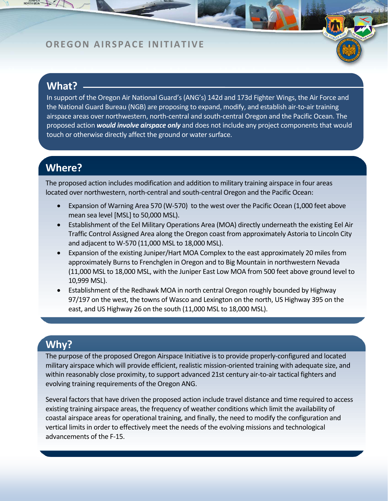### **OREGON AIRSPACE INITIATIVE**

## **What?**

In support of the Oregon Air National Guard's(ANG's) 142d and 173d Fighter Wings, the Air Force and the National Guard Bureau (NGB) are proposing to expand, modify, and establish air‐to‐air training airspace areas over northwestern, north‐central and south‐central Oregon and the Pacific Ocean. The proposed action *would involve airspace only* and does not include any project components that would touch or otherwise directly affect the ground or water surface.

# **Where?**

The proposed action includes modification and addition to military training airspace in four areas located over northwestern, north‐central and south‐central Oregon and the Pacific Ocean:

- Expansion of Warning Area 570 (W-570) to the west over the Pacific Ocean (1,000 feet above mean sea level [MSL] to 50,000 MSL).
- Establishment of the Eel Military Operations Area (MOA) directly underneath the existing Eel Air Traffic Control Assigned Area along the Oregon coast from approximately Astoria to Lincoln City and adjacent to W‐570 (11,000 MSL to 18,000 MSL).
- Expansion of the existing Juniper/Hart MOA Complex to the east approximately 20 miles from approximately Burns to Frenchglen in Oregon and to Big Mountain in northwestern Nevada (11,000 MSL to 18,000 MSL, with the Juniper East Low MOA from 500 feet above ground level to 10,999 MSL).
- Establishment of the Redhawk MOA in north central Oregon roughly bounded by Highway 97/197 on the west, the towns of Wasco and Lexington on the north, US Highway 395 on the east, and US Highway 26 on the south (11,000 MSL to 18,000 MSL).

# **Why?**

The purpose of the proposed Oregon Airspace Initiative is to provide properly-configured and located military airspace which will provide efficient, realistic mission‐oriented training with adequate size, and within reasonably close proximity, to support advanced 21st century air-to-air tactical fighters and evolving training requirements of the Oregon ANG.

Several factors that have driven the proposed action include travel distance and time required to access existing training airspace areas, the frequency of weather conditions which limit the availability of coastal airspace areas for operational training, and finally, the need to modify the configuration and vertical limits in order to effectively meet the needs of the evolving missions and technological advancements of the F‐15.